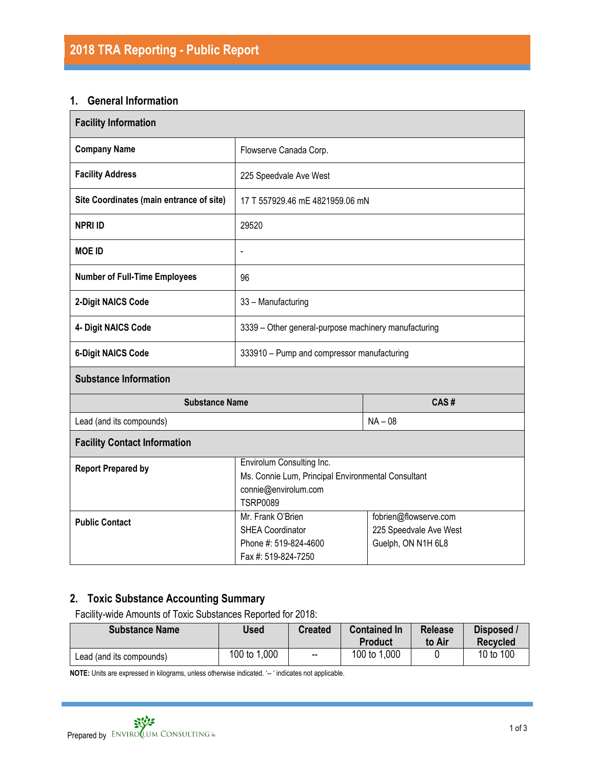## **1. General Information**

| <b>Facility Information</b>              |                                                                                                                            |                                                                       |  |  |
|------------------------------------------|----------------------------------------------------------------------------------------------------------------------------|-----------------------------------------------------------------------|--|--|
| <b>Company Name</b>                      | Flowserve Canada Corp.                                                                                                     |                                                                       |  |  |
| <b>Facility Address</b>                  | 225 Speedvale Ave West                                                                                                     |                                                                       |  |  |
| Site Coordinates (main entrance of site) | 17 T 557929.46 mE 4821959.06 mN                                                                                            |                                                                       |  |  |
| <b>NPRI ID</b>                           | 29520                                                                                                                      |                                                                       |  |  |
| <b>MOE ID</b>                            | $\overline{\phantom{a}}$                                                                                                   |                                                                       |  |  |
| <b>Number of Full-Time Employees</b>     | 96                                                                                                                         |                                                                       |  |  |
| 2-Digit NAICS Code                       | 33 - Manufacturing                                                                                                         |                                                                       |  |  |
| 4- Digit NAICS Code                      | 3339 - Other general-purpose machinery manufacturing                                                                       |                                                                       |  |  |
| <b>6-Digit NAICS Code</b>                | 333910 - Pump and compressor manufacturing                                                                                 |                                                                       |  |  |
| <b>Substance Information</b>             |                                                                                                                            |                                                                       |  |  |
| <b>Substance Name</b>                    |                                                                                                                            | CAS#                                                                  |  |  |
| Lead (and its compounds)                 |                                                                                                                            | $NA - 08$                                                             |  |  |
| <b>Facility Contact Information</b>      |                                                                                                                            |                                                                       |  |  |
| <b>Report Prepared by</b>                | Envirolum Consulting Inc.<br>Ms. Connie Lum, Principal Environmental Consultant<br>connie@envirolum.com<br><b>TSRP0089</b> |                                                                       |  |  |
| <b>Public Contact</b>                    | Mr. Frank O'Brien<br><b>SHEA Coordinator</b><br>Phone #: 519-824-4600<br>Fax #: 519-824-7250                               | fobrien@flowserve.com<br>225 Speedvale Ave West<br>Guelph, ON N1H 6L8 |  |  |

## **2. Toxic Substance Accounting Summary**

Facility-wide Amounts of Toxic Substances Reported for 2018:

| <b>Substance Name</b>    | Used         | <b>Created</b>           | <b>Contained In</b><br>Product | <b>Release</b><br>to Air | Disposed /<br><b>Recvcled</b> |
|--------------------------|--------------|--------------------------|--------------------------------|--------------------------|-------------------------------|
| Lead (and its compounds) | 100 to 1,000 | $\overline{\phantom{a}}$ | 100 to 1,000                   |                          | 10 to 100                     |

**NOTE:** Units are expressed in kilograms, unless otherwise indicated. '-- ' indicates not applicable.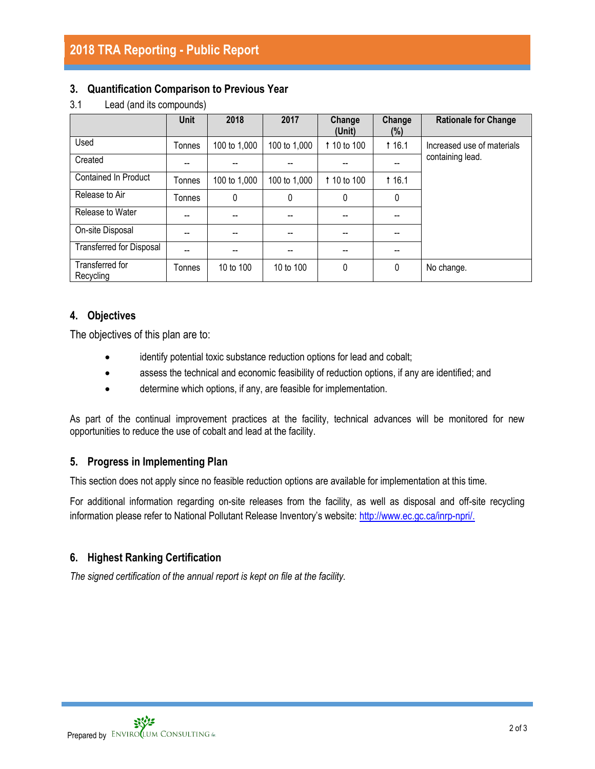## **2018 TRA Reporting - Public Report**

#### **3. Quantification Comparison to Previous Year**

|                                 | <b>Unit</b> | 2018         | 2017         | Change<br>(Unit) | Change<br>(%) | <b>Rationale for Change</b> |  |
|---------------------------------|-------------|--------------|--------------|------------------|---------------|-----------------------------|--|
| Used                            | Tonnes      | 100 to 1,000 | 100 to 1,000 | 1 10 to 100      | <b>16.1</b>   | Increased use of materials  |  |
| Created                         | --          |              |              |                  | --            | containing lead.            |  |
| <b>Contained In Product</b>     | Tonnes      | 100 to 1,000 | 100 to 1,000 | 1 10 to 100      | <b>16.1</b>   |                             |  |
| Release to Air                  | Tonnes      | 0            | 0            | 0                | 0             |                             |  |
| Release to Water                | --          | --           |              |                  | --            |                             |  |
| On-site Disposal                | --          | --           | --           |                  | --            |                             |  |
| <b>Transferred for Disposal</b> |             |              |              |                  | --            |                             |  |
| Transferred for<br>Recycling    | Tonnes      | 10 to 100    | 10 to 100    | 0                | $\Omega$      | No change.                  |  |

#### 3.1 Lead (and its compounds)

## **4. Objectives**

The objectives of this plan are to:

- identify potential toxic substance reduction options for lead and cobalt;
- assess the technical and economic feasibility of reduction options, if any are identified; and
- determine which options, if any, are feasible for implementation.

As part of the continual improvement practices at the facility, technical advances will be monitored for new opportunities to reduce the use of cobalt and lead at the facility.

#### **5. Progress in Implementing Plan**

This section does not apply since no feasible reduction options are available for implementation at this time.

For additional information regarding on-site releases from the facility, as well as disposal and off-site recycling information please refer to National Pollutant Release Inventory's website: [http://www.ec.gc.ca/inrp-npri/.](http://www.ec.gc.ca/inrp-npri/)

## **6. Highest Ranking Certification**

*The signed certification of the annual report is kept on file at the facility.*